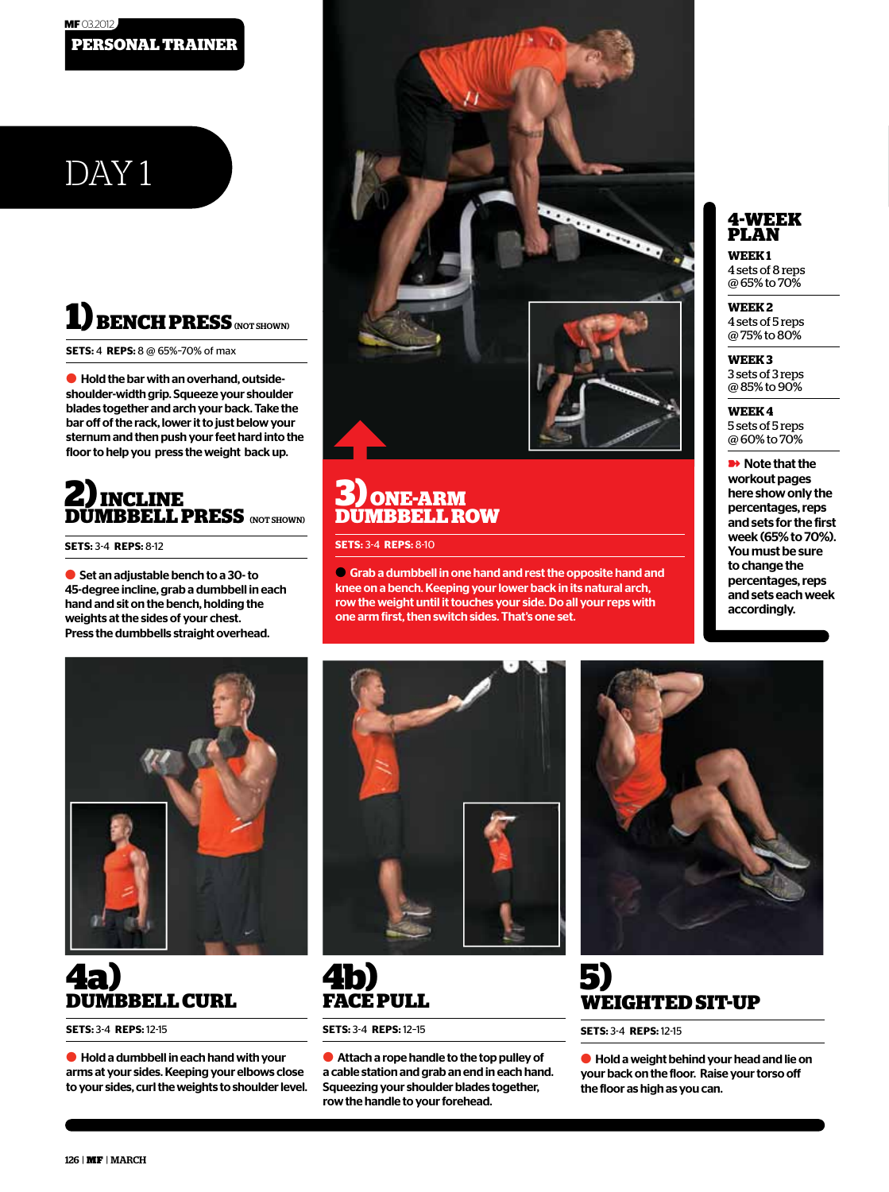#### **PERSONAL TRAINER MF** 03.2012

# DAY<sub>1</sub>

## **RENCH PRESS (NOT SHOWN)**

**SETS:** 4 **REPS:** 8 @ 65%–70% of max

● Hold the bar with an overhand, outsideshoulder-width grip. Squeeze your shoulder blades together and arch your back. Take the bar off of the rack, lower it to just below your sternum and then push your feet hard into the floor to help you press the weight back up.

### **2) INCLINE DUMBBELL PRESS** (NOT SHOWN)

**SETS:** 3-4 **REPS:** 8-12

● Set an adjustable bench to a 30- to 45-degree incline, grab a dumbbell in each hand and sit on the bench, holding the weights at the sides of your chest. Press the dumbbells straight overhead.

#### **3) ONE-ARM DUMBBELL ROW**

**SETS:** 3-4 **REPS:** 8-10

● Grab a dumbbell in one hand and rest the opposite hand and knee on a bench. Keeping your lower back in its natural arch, row the weight until it touches your side. Do all your reps with one arm first, then switch sides. That's one set.

#### **4-WEEK PLAN**

**WEEK 1**  4 sets of 8 reps @ 65% to 70%

#### **WEEK 2**  4 sets of 5 reps @ 75% to 80%

**WEEK 3**  3 sets of 3 reps @ 85% to 90%

#### **WEEK 4**  5 sets of 5 reps

@ 60% to 70%

**■** Note that the workout pages here show only the percentages, reps and sets for the first week (65% to 70%). You must be sure to change the percentages, reps and sets each week accordingly.



### **4a) DUMBBELL CURL**

**SETS:** 3-4 **REPS:** 12-15

● Hold a dumbbell in each hand with your arms at your sides. Keeping your elbows close to your sides, curl the weights to shoulder level.



### **4b) FACE PULL**

**SETS:** 3-4 **REPS:** 12–15

● Attach a rope handle to the top pulley of a cable station and grab an end in each hand. Squeezing your shoulder blades together, row the handle to your forehead.



### **5) WEIGHTED SIT-UP**

**SETS:** 3-4 **REPS:** 12-15

● Hold a weight behind your head and lie on your back on the floor. Raise your torso o the floor as high as you can.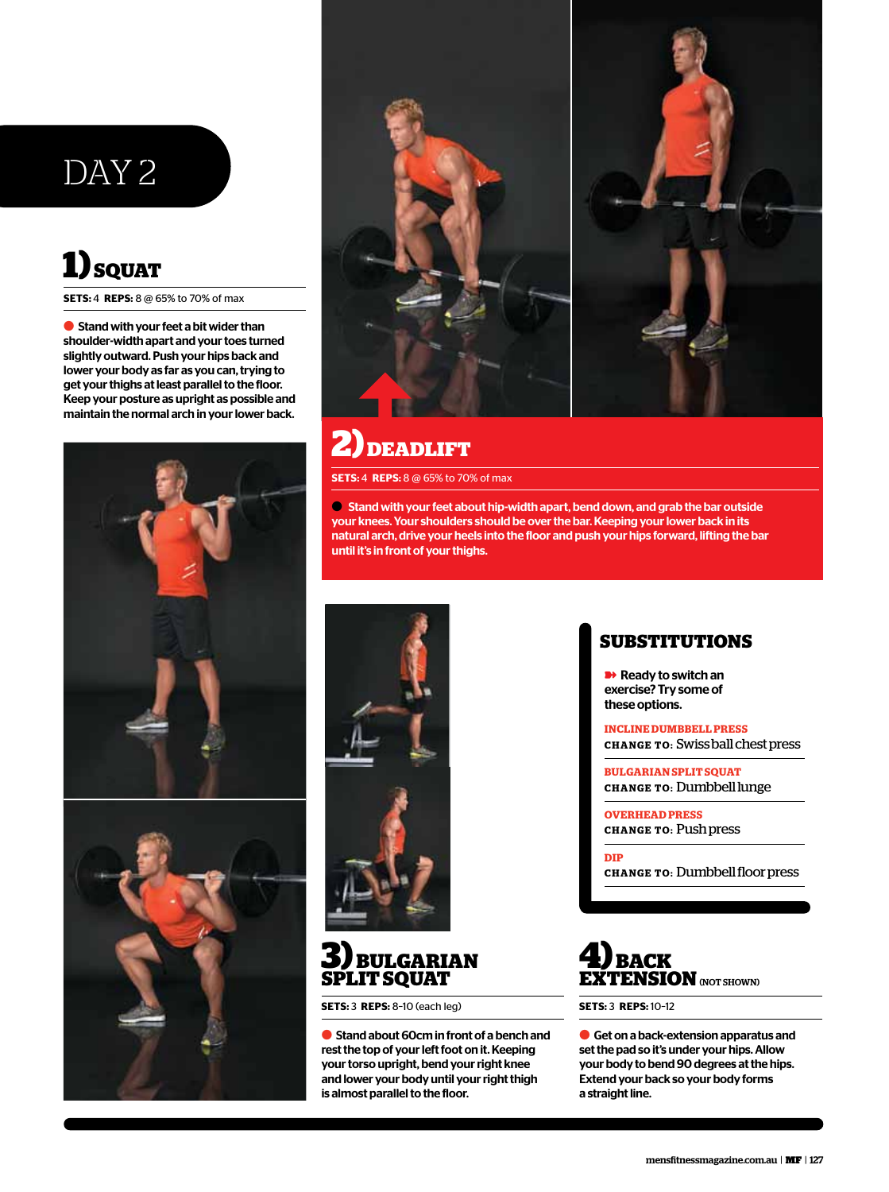## DAY 2

## **1) SQUAT**

**SETS:** 4 **REPS:** 8 @ 65% to 70% of max

● Stand with your feet a bit wider than shoulder-width apart and your toes turned slightly outward. Push your hips back and lower your body as far as you can, trying to get your thighs at least parallel to the floor. Keep your posture as upright as possible and maintain the normal arch in your lower back.







## **2) DEADLIFT**

**SETS:** 4 **REPS:** 8 @ 65% to 70% of max

● Stand with your feet about hip-width apart, bend down, and grab the bar outside your knees. Your shoulders should be over the bar. Keeping your lower back in its natural arch, drive your heels into the floor and push your hips forward, lifting the bar until it's in front of your thighs.



#### **3) BULGARIAN SPLIT SQUAT**

**SETS:** 3 **REPS:** 8–10 (each leg)

● Stand about 60cm in front of a bench and rest the top of your left foot on it. Keeping your torso upright, bend your right knee and lower your body until your right thigh is almost parallel to the floor.

#### **SUBSTITUTIONS**

**■** Ready to switch an exercise? Try some of these options.

**INCLINE DUMBBELL PRESS CHANGE TO:** Swiss ball chest press

**BULGARIAN SPLIT SQUAT CHANGE TO:** Dumbbell lunge

**OVERHEAD PRESS CHANGE TO:** Push press

**DIP CHANGE TO:** Dumbbell floor press



**SETS:** 3 **REPS:** 10–12

● Get on a back-extension apparatus and set the pad so it's under your hips. Allow your body to bend 90 degrees at the hips. Extend your back so your body forms a straight line.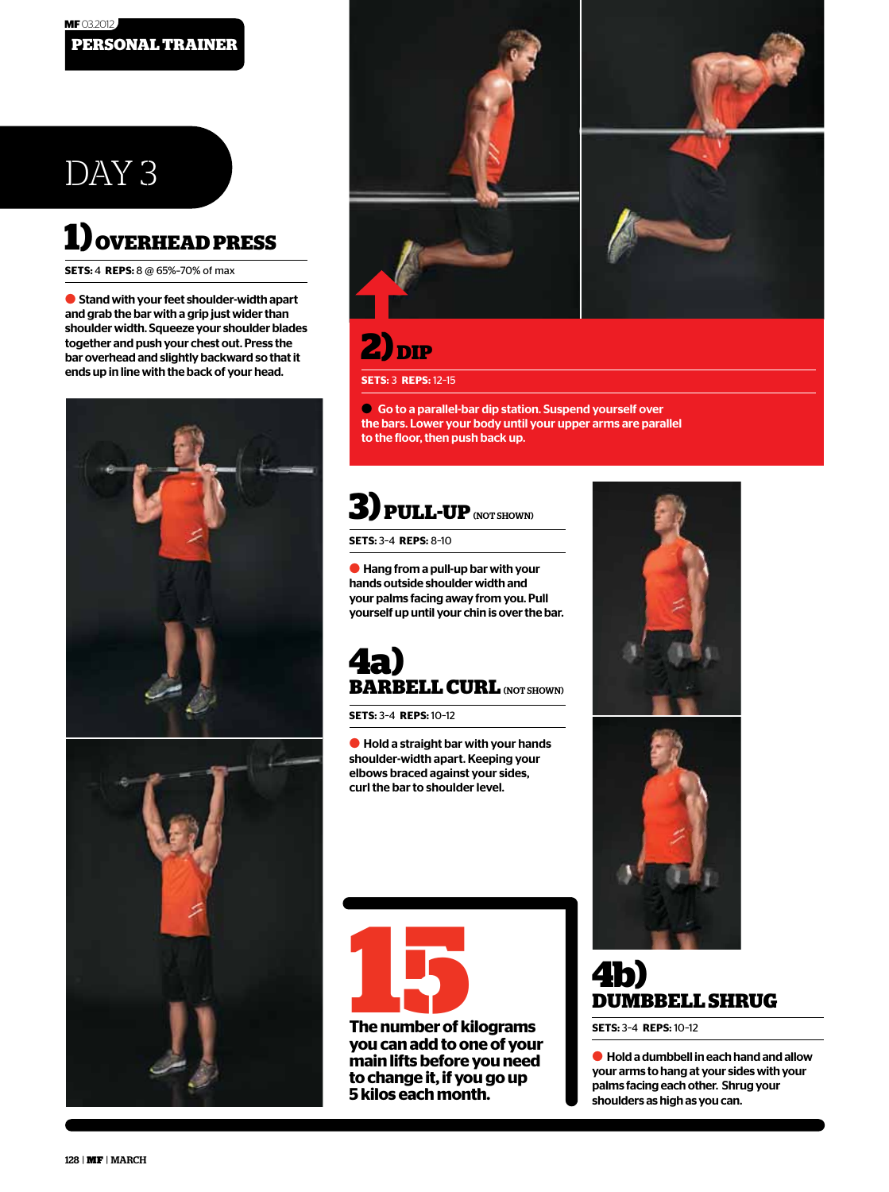## DAY 3

## **1) OVERHEAD PRESS**

**SETS:** 4 **REPS:** 8 @ 65%–70% of max

● Stand with your feet shoulder-width apart and grab the bar with a grip just wider than shoulder width. Squeeze your shoulder blades together and push your chest out. Press the bar overhead and slightly backward so that it ends up in line with the back of your head.







**2) DIP**

**SETS:** 3 **REPS:** 12–15

● Go to a parallel-bar dip station. Suspend yourself over the bars. Lower your body until your upper arms are parallel to the floor, then push back up.

## **3) PULL-UP**(NOT SHOWN)

**SETS:** 3–4 **REPS:** 8–10

 $\bullet$  Hang from a pull-up bar with your hands outside shoulder width and your palms facing away from you. Pull yourself up until your chin is over the bar.

## **4a) BARBELL CURL (NOT SHOWN)**

**SETS:** 3–4 **REPS:** 10–12

● Hold a straight bar with your hands shoulder-width apart. Keeping your elbows braced against your sides, curl the bar to shoulder level.



**you can add to one of your main lifts before you need to change it, if you go up 5 kilos each month.**





## **4b) DUMBBELL SHRUG**

**SETS:** 3–4 **REPS:** 10–12

 $\bullet$  Hold a dumbbell in each hand and allow your arms to hang at your sides with your palms facing each other. Shrug your shoulders as high as you can.